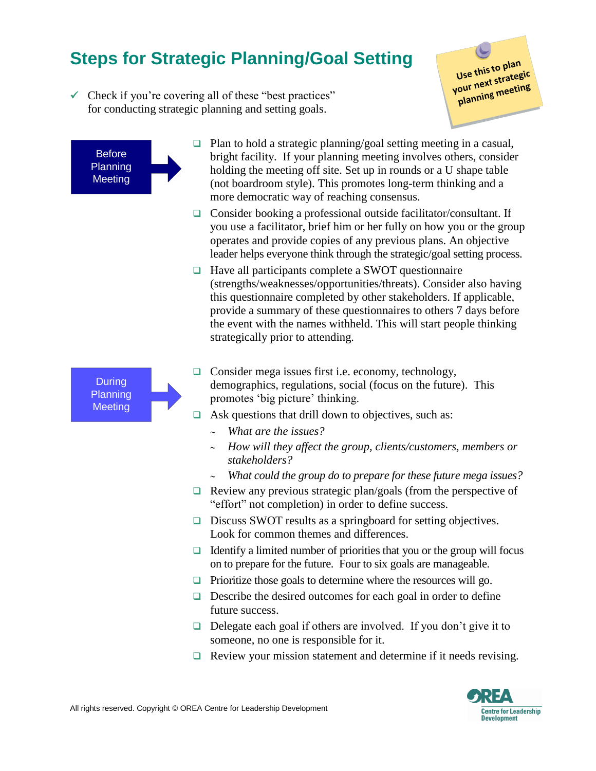## **Steps for Strategic Planning/Goal Setting**

 $\checkmark$  Check if you're covering all of these "best practices" for conducting strategic planning and setting goals.

Use this to plan Use this to plan.<br>your next strategic<br>your ning meeting pur next strateging

**Before Planning Meeting** 

- $\Box$  Plan to hold a strategic planning/goal setting meeting in a casual, bright facility. If your planning meeting involves others, consider holding the meeting off site. Set up in rounds or a U shape table (not boardroom style). This promotes long-term thinking and a more democratic way of reaching consensus.
- $\Box$  Consider booking a professional outside facilitator/consultant. If you use a facilitator, brief him or her fully on how you or the group operates and provide copies of any previous plans. An objective leader helps everyone think through the strategic/goal setting process.
- $\Box$  Have all participants complete a SWOT questionnaire (strengths/weaknesses/opportunities/threats). Consider also having this questionnaire completed by other stakeholders. If applicable, provide a summary of these questionnaires to others 7 days before the event with the names withheld. This will start people thinking strategically prior to attending.



- $\Box$  Consider mega issues first i.e. economy, technology, demographics, regulations, social (focus on the future). This promotes 'big picture' thinking.
- $\Box$  Ask questions that drill down to objectives, such as:
	- *What are the issues?*
	- *How will they affect the group, clients/customers, members or stakeholders?*
	- *What could the group do to prepare for these future mega issues?*
- $\Box$  Review any previous strategic plan/goals (from the perspective of "effort" not completion) in order to define success.
- Discuss SWOT results as a springboard for setting objectives. Look for common themes and differences.
- $\Box$  Identify a limited number of priorities that you or the group will focus on to prepare for the future. Four to six goals are manageable.
- $\Box$  Prioritize those goals to determine where the resources will go.
- $\Box$  Describe the desired outcomes for each goal in order to define future success.
- $\Box$  Delegate each goal if others are involved. If you don't give it to someone, no one is responsible for it.
- $\Box$  Review your mission statement and determine if it needs revising.